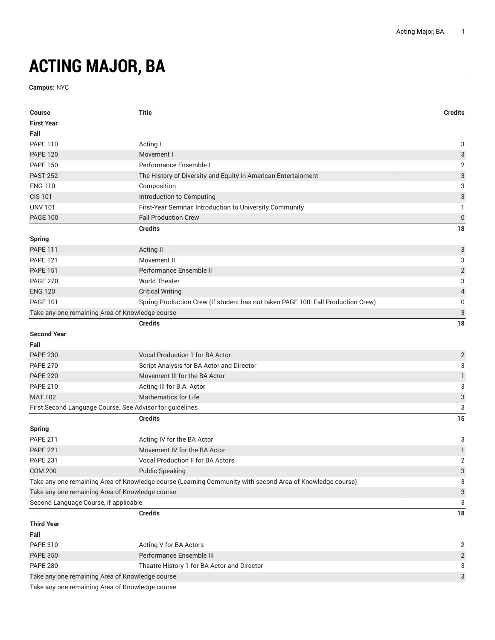## **ACTING MAJOR, BA**

**Campus:** NYC

| <b>Course</b>                                            | <b>Title</b>                                                                                              | <b>Credits</b>            |  |
|----------------------------------------------------------|-----------------------------------------------------------------------------------------------------------|---------------------------|--|
| <b>First Year</b>                                        |                                                                                                           |                           |  |
| Fall                                                     |                                                                                                           |                           |  |
| <b>PAPE 110</b>                                          | Acting I                                                                                                  | 3                         |  |
| <b>PAPE 120</b>                                          | Movement I                                                                                                | 3                         |  |
| <b>PAPE 150</b>                                          | Performance Ensemble I                                                                                    | $\overline{c}$            |  |
| <b>PAST 252</b>                                          | The History of Diversity and Equity in American Entertainment                                             | $\ensuremath{\mathsf{3}}$ |  |
| <b>ENG 110</b>                                           | Composition                                                                                               | 3                         |  |
| <b>CIS 101</b>                                           | Introduction to Computing                                                                                 | 3                         |  |
| <b>UNV 101</b>                                           | First-Year Seminar. Introduction to University Community                                                  | 1                         |  |
| <b>PAGE 100</b>                                          | <b>Fall Production Crew</b>                                                                               | $\mathbf 0$               |  |
|                                                          | <b>Credits</b>                                                                                            | 18                        |  |
| Spring                                                   |                                                                                                           |                           |  |
| <b>PAPE 111</b>                                          | Acting II                                                                                                 | $\sqrt{3}$                |  |
| <b>PAPE 121</b>                                          | Movement II                                                                                               | 3                         |  |
| <b>PAPE 151</b>                                          | Performance Ensemble II                                                                                   | $\sqrt{2}$                |  |
| <b>PAGE 270</b>                                          | <b>World Theater</b>                                                                                      | 3                         |  |
| <b>ENG 120</b>                                           | <b>Critical Writing</b>                                                                                   | $\overline{4}$            |  |
| <b>PAGE 101</b>                                          | Spring Production Crew (If student has not taken PAGE 100: Fall Production Crew)                          | 0                         |  |
| Take any one remaining Area of Knowledge course          |                                                                                                           | $\sqrt{3}$                |  |
|                                                          | <b>Credits</b>                                                                                            | 18                        |  |
| <b>Second Year</b>                                       |                                                                                                           |                           |  |
| Fall                                                     |                                                                                                           |                           |  |
| <b>PAPE 230</b>                                          | Vocal Production 1 for BA Actor                                                                           | $\overline{2}$            |  |
| <b>PAPE 270</b>                                          | Script Analysis for BA Actor and Director                                                                 | 3                         |  |
| <b>PAPE 220</b>                                          | Movement III for the BA Actor                                                                             | $\mathbbm{1}$             |  |
| <b>PAPE 210</b>                                          | Acting III for B.A. Actor                                                                                 | 3                         |  |
| <b>MAT 102</b>                                           | Mathematics for Life                                                                                      | $\ensuremath{\mathsf{3}}$ |  |
| First Second Language Course. See Advisor for guidelines |                                                                                                           | 3                         |  |
|                                                          | <b>Credits</b>                                                                                            | 15                        |  |
| <b>Spring</b>                                            |                                                                                                           |                           |  |
| <b>PAPE 211</b>                                          | Acting IV for the BA Actor                                                                                | 3                         |  |
| <b>PAPE 221</b>                                          | Movement IV for the BA Actor                                                                              | $\mathbf{1}$              |  |
| <b>PAPE 231</b>                                          | <b>Vocal Production II for BA Actors</b>                                                                  | $\overline{2}$            |  |
| <b>COM 200</b>                                           | <b>Public Speaking</b>                                                                                    | 3                         |  |
|                                                          | Take any one remaining Area of Knowledge course (Learning Community with second Area of Knowledge course) | 3                         |  |
| Take any one remaining Area of Knowledge course          |                                                                                                           | 3                         |  |
| Second Language Course, if applicable                    |                                                                                                           | 3                         |  |
|                                                          | <b>Credits</b>                                                                                            | ${\bf 18}$                |  |
| <b>Third Year</b>                                        |                                                                                                           |                           |  |
| Fall                                                     |                                                                                                           |                           |  |
| <b>PAPE 310</b>                                          | Acting V for BA Actors                                                                                    | 2                         |  |
| <b>PAPE 350</b>                                          | Performance Ensemble III                                                                                  | $\mathbf{2}$              |  |
| <b>PAPE 280</b>                                          | Theatre History 1 for BA Actor and Director                                                               | 3                         |  |
| Take any one remaining Area of Knowledge course          |                                                                                                           | 3                         |  |
| any ana romaining Area of Vnouvlades                     |                                                                                                           |                           |  |

Take any one remaining Area of Knowledge course